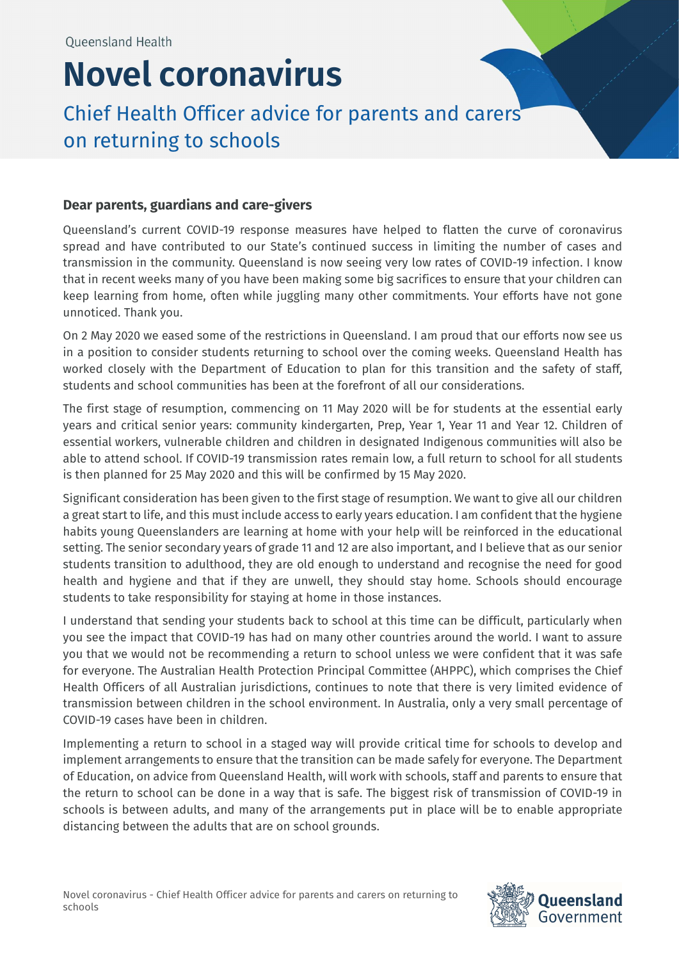## Novel coronavirus

## Chief Health Officer advice for parents and carers on returning to schools

## Dear parents, guardians and care-givers

Queensland's current COVID-19 response measures have helped to flatten the curve of coronavirus spread and have contributed to our State's continued success in limiting the number of cases and transmission in the community. Queensland is now seeing very low rates of COVID-19 infection. I know that in recent weeks many of you have been making some big sacrifices to ensure that your children can keep learning from home, often while juggling many other commitments. Your efforts have not gone unnoticed. Thank you.

On 2 May 2020 we eased some of the restrictions in Queensland. I am proud that our efforts now see us in a position to consider students returning to school over the coming weeks. Queensland Health has worked closely with the Department of Education to plan for this transition and the safety of staff, students and school communities has been at the forefront of all our considerations.

The first stage of resumption, commencing on 11 May 2020 will be for students at the essential early years and critical senior years: community kindergarten, Prep, Year 1, Year 11 and Year 12. Children of essential workers, vulnerable children and children in designated Indigenous communities will also be able to attend school. If COVID-19 transmission rates remain low, a full return to school for all students is then planned for 25 May 2020 and this will be confirmed by 15 May 2020.

Significant consideration has been given to the first stage of resumption. We want to give all our children a great start to life, and this must include access to early years education. I am confident that the hygiene habits young Queenslanders are learning at home with your help will be reinforced in the educational setting. The senior secondary years of grade 11 and 12 are also important, and I believe that as our senior students transition to adulthood, they are old enough to understand and recognise the need for good health and hygiene and that if they are unwell, they should stay home. Schools should encourage students to take responsibility for staying at home in those instances.

I understand that sending your students back to school at this time can be difficult, particularly when you see the impact that COVID-19 has had on many other countries around the world. I want to assure you that we would not be recommending a return to school unless we were confident that it was safe for everyone. The Australian Health Protection Principal Committee (AHPPC), which comprises the Chief Health Officers of all Australian jurisdictions, continues to note that there is very limited evidence of transmission between children in the school environment. In Australia, only a very small percentage of COVID-19 cases have been in children.

Implementing a return to school in a staged way will provide critical time for schools to develop and implement arrangements to ensure that the transition can be made safely for everyone. The Department of Education, on advice from Queensland Health, will work with schools, staff and parents to ensure that the return to school can be done in a way that is safe. The biggest risk of transmission of COVID-19 in schools is between adults, and many of the arrangements put in place will be to enable appropriate distancing between the adults that are on school grounds.